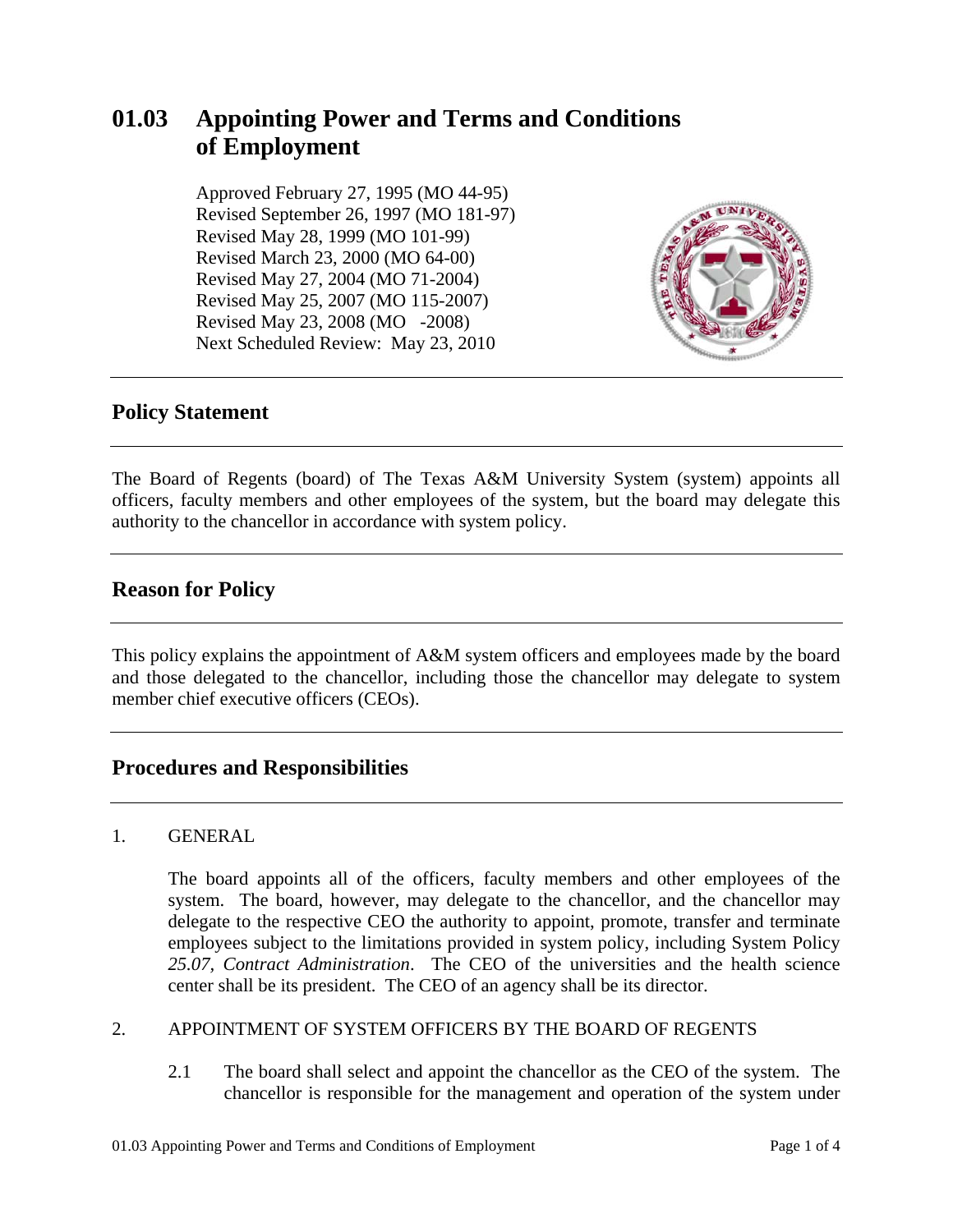# **01.03 Appointing Power and Terms and Conditions of Employment**

 Approved February 27, 1995 (MO 44-95) Revised September 26, 1997 (MO 181-97) Revised May 28, 1999 (MO 101-99) Revised March 23, 2000 (MO 64-00) Revised May 27, 2004 (MO 71-2004) Revised May 25, 2007 (MO 115-2007) Revised May 23, 2008 (MO -2008) Next Scheduled Review: May 23, 2010



## **Policy Statement**

The Board of Regents (board) of The Texas A&M University System (system) appoints all officers, faculty members and other employees of the system, but the board may delegate this authority to the chancellor in accordance with system policy.

## **Reason for Policy**

This policy explains the appointment of A&M system officers and employees made by the board and those delegated to the chancellor, including those the chancellor may delegate to system member chief executive officers (CEOs).

## **Procedures and Responsibilities**

#### 1. GENERAL

The board appoints all of the officers, faculty members and other employees of the system. The board, however, may delegate to the chancellor, and the chancellor may delegate to the respective CEO the authority to appoint, promote, transfer and terminate employees subject to the limitations provided in system policy, including System Policy *25.07, Contract Administration*. The CEO of the universities and the health science center shall be its president. The CEO of an agency shall be its director.

#### 2. APPOINTMENT OF SYSTEM OFFICERS BY THE BOARD OF REGENTS

2.1 The board shall select and appoint the chancellor as the CEO of the system. The chancellor is responsible for the management and operation of the system under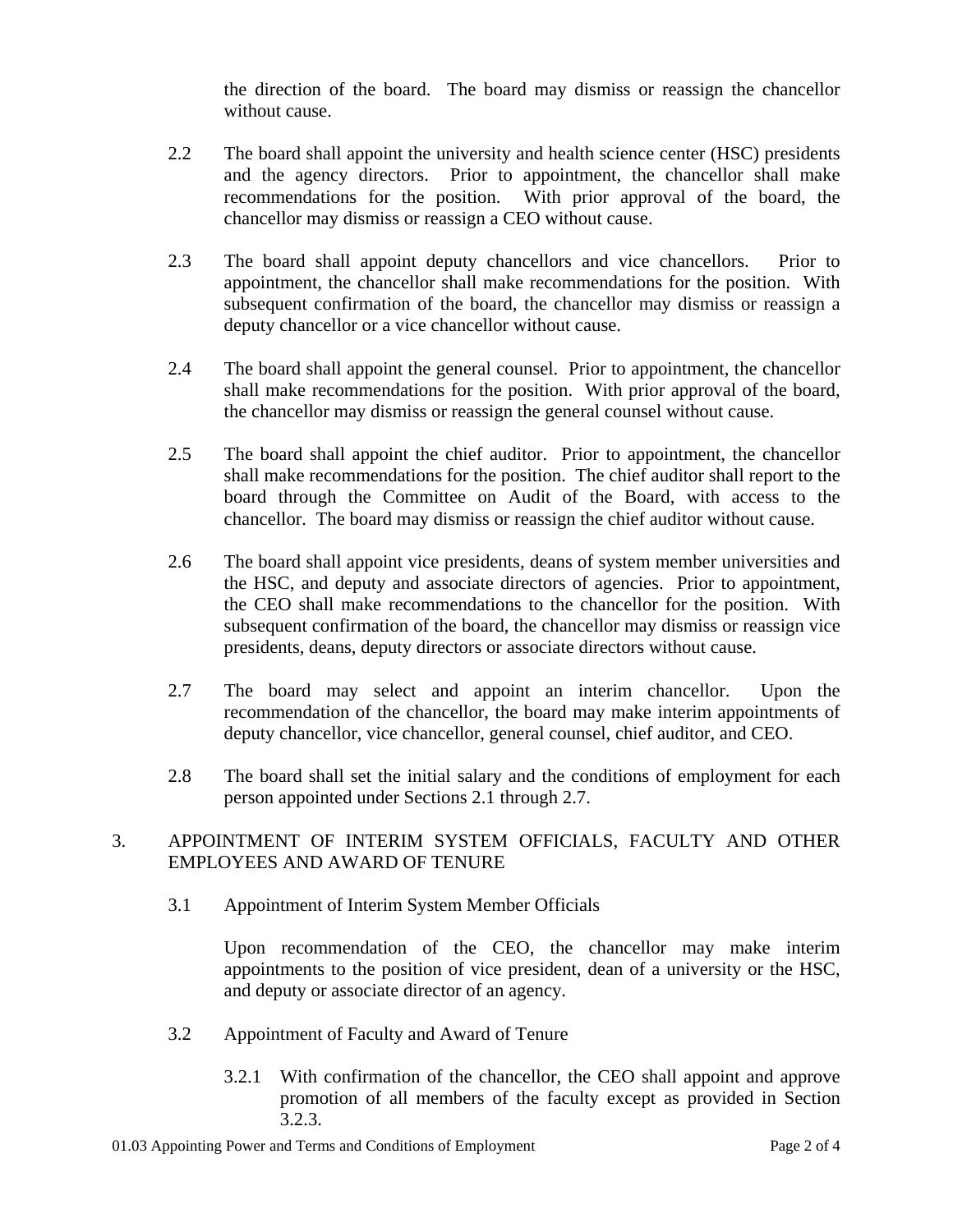the direction of the board. The board may dismiss or reassign the chancellor without cause.

- 2.2 The board shall appoint the university and health science center (HSC) presidents and the agency directors. Prior to appointment, the chancellor shall make recommendations for the position. With prior approval of the board, the chancellor may dismiss or reassign a CEO without cause.
- 2.3 The board shall appoint deputy chancellors and vice chancellors. Prior to appointment, the chancellor shall make recommendations for the position. With subsequent confirmation of the board, the chancellor may dismiss or reassign a deputy chancellor or a vice chancellor without cause.
- 2.4 The board shall appoint the general counsel. Prior to appointment, the chancellor shall make recommendations for the position. With prior approval of the board, the chancellor may dismiss or reassign the general counsel without cause.
- 2.5 The board shall appoint the chief auditor. Prior to appointment, the chancellor shall make recommendations for the position. The chief auditor shall report to the board through the Committee on Audit of the Board, with access to the chancellor. The board may dismiss or reassign the chief auditor without cause.
- 2.6 The board shall appoint vice presidents, deans of system member universities and the HSC, and deputy and associate directors of agencies. Prior to appointment, the CEO shall make recommendations to the chancellor for the position. With subsequent confirmation of the board, the chancellor may dismiss or reassign vice presidents, deans, deputy directors or associate directors without cause.
- 2.7 The board may select and appoint an interim chancellor. Upon the recommendation of the chancellor, the board may make interim appointments of deputy chancellor, vice chancellor, general counsel, chief auditor, and CEO.
- 2.8 The board shall set the initial salary and the conditions of employment for each person appointed under Sections 2.1 through 2.7.

#### 3. APPOINTMENT OF INTERIM SYSTEM OFFICIALS, FACULTY AND OTHER EMPLOYEES AND AWARD OF TENURE

3.1 Appointment of Interim System Member Officials

Upon recommendation of the CEO, the chancellor may make interim appointments to the position of vice president, dean of a university or the HSC, and deputy or associate director of an agency.

- 3.2 Appointment of Faculty and Award of Tenure
	- 3.2.1 With confirmation of the chancellor, the CEO shall appoint and approve promotion of all members of the faculty except as provided in Section 3.2.3.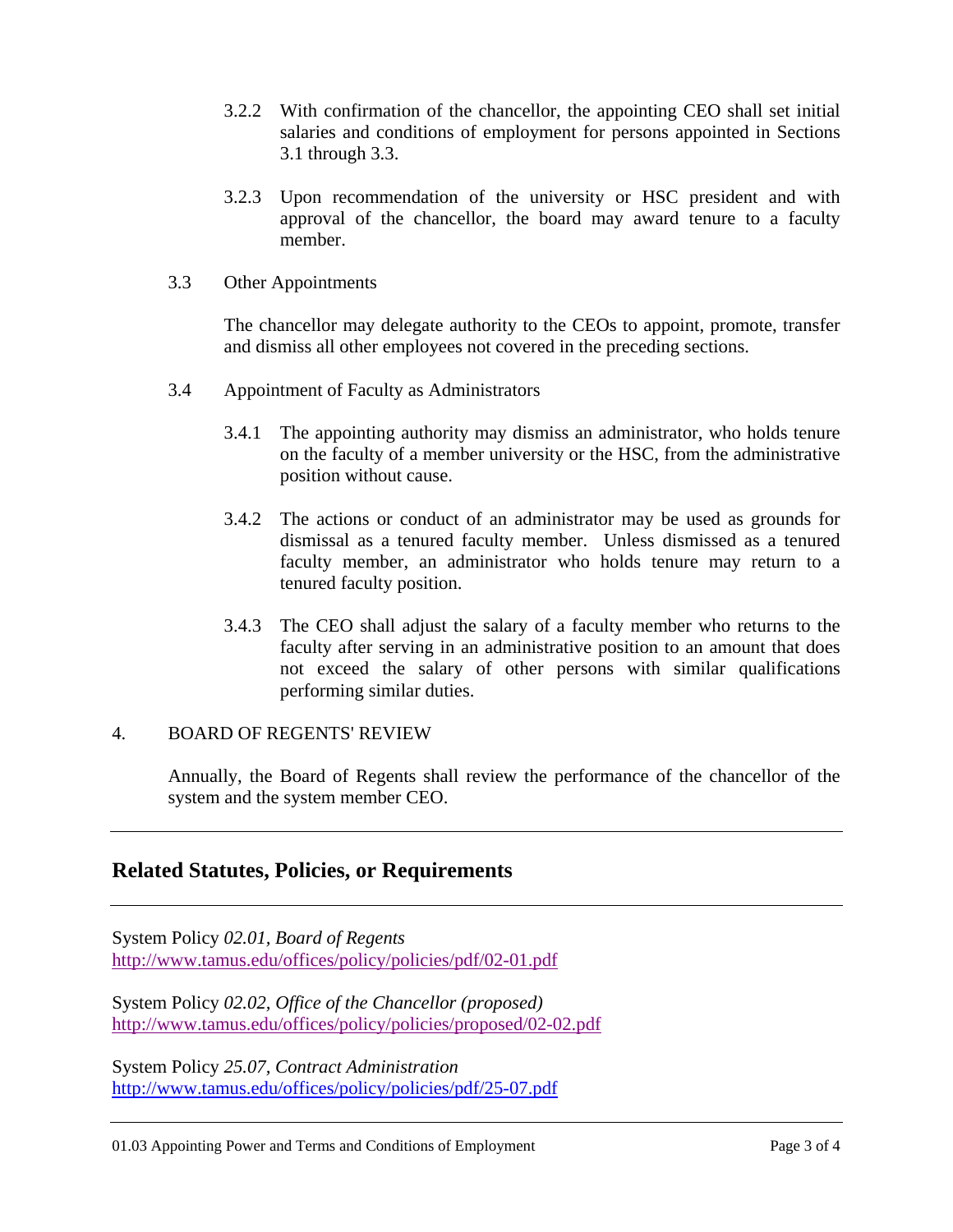- 3.2.2 With confirmation of the chancellor, the appointing CEO shall set initial salaries and conditions of employment for persons appointed in Sections 3.1 through 3.3.
- 3.2.3 Upon recommendation of the university or HSC president and with approval of the chancellor, the board may award tenure to a faculty member.
- 3.3 Other Appointments

The chancellor may delegate authority to the CEOs to appoint, promote, transfer and dismiss all other employees not covered in the preceding sections.

- 3.4 Appointment of Faculty as Administrators
	- 3.4.1 The appointing authority may dismiss an administrator, who holds tenure on the faculty of a member university or the HSC, from the administrative position without cause.
	- 3.4.2 The actions or conduct of an administrator may be used as grounds for dismissal as a tenured faculty member. Unless dismissed as a tenured faculty member, an administrator who holds tenure may return to a tenured faculty position.
	- 3.4.3 The CEO shall adjust the salary of a faculty member who returns to the faculty after serving in an administrative position to an amount that does not exceed the salary of other persons with similar qualifications performing similar duties.

#### 4. BOARD OF REGENTS' REVIEW

Annually, the Board of Regents shall review the performance of the chancellor of the system and the system member CEO.

## **Related Statutes, Policies, or Requirements**

System Policy *02.01, Board of Regents* http://www.tamus.edu/offices/policy/policies/pdf/02-01.pdf

System Policy *02.02, Office of the Chancellor (proposed)* http://www.tamus.edu/offices/policy/policies/proposed/02-02.pdf

System Policy *25.07, Contract Administration*  http://www.tamus.edu/offices/policy/policies/pdf/25-07.pdf